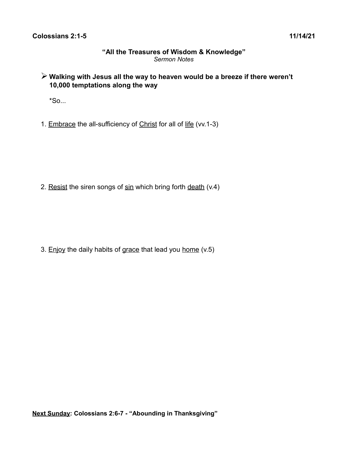## **"All the Treasures of Wisdom & Knowledge"** *Sermon Notes*

➢ **Walking with Jesus all the way to heaven would be a breeze if there weren't 10,000 temptations along the way**

 $*$ So...

1. Embrace the all-sufficiency of Christ for all of life (vv.1-3)

2. Resist the siren songs of sin which bring forth death (v.4)

3. Enjoy the daily habits of grace that lead you home (v.5)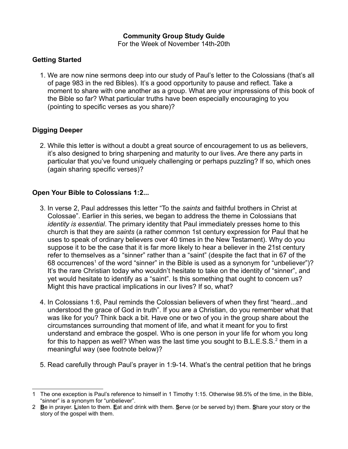## **Community Group Study Guide**

For the Week of November 14th-20th

#### **Getting Started**

1. We are now nine sermons deep into our study of Paul's letter to the Colossians (that's all of page 983 in the red Bibles). It's a good opportunity to pause and reflect. Take a moment to share with one another as a group. What are your impressions of this book of the Bible so far? What particular truths have been especially encouraging to you (pointing to specific verses as you share)?

# **Digging Deeper**

2. While this letter is without a doubt a great source of encouragement to us as believers, it's also designed to bring sharpening and maturity to our lives. Are there any parts in particular that you've found uniquely challenging or perhaps puzzling? If so, which ones (again sharing specific verses)?

## **Open Your Bible to Colossians 1:2...**

- 3. In verse 2, Paul addresses this letter "To the *saints* and faithful brothers in Christ at Colossae". Earlier in this series, we began to address the theme in Colossians that *identity is essential*. The primary identity that Paul immediately presses home to this church is that they are *saints* (a rather common 1st century expression for Paul that he uses to speak of ordinary believers over 40 times in the New Testament). Why do you suppose it to be the case that it is far more likely to hear a believer in the 21st century refer to themselves as a "sinner" rather than a "saint" (despite the fact that in 67 of the 68 occurrences<sup>[1](#page-1-0)</sup> of the word "sinner" in the Bible is used as a synonym for "unbeliever")? It's the rare Christian today who wouldn't hesitate to take on the identity of "sinner", and yet would hesitate to identify as a "saint". Is this something that ought to concern us? Might this have practical implications in our lives? If so, what?
- 4. In Colossians 1:6, Paul reminds the Colossian believers of when they first "heard...and understood the grace of God in truth". If you are a Christian, do you remember what that was like for you? Think back a bit. Have one or two of you in the group share about the circumstances surrounding that moment of life, and what it meant for you to first understand and embrace the gospel. Who is one person in your life for whom you long for this to happen as well? When was the last time you sought to B.L.E.S.S. $^{\text{2}}$  $^{\text{2}}$  $^{\text{2}}$  them in a meaningful way (see footnote below)?
- 5. Read carefully through Paul's prayer in 1:9-14. What's the central petition that he brings

<span id="page-1-0"></span><sup>1</sup> The one exception is Paul's reference to himself in 1 Timothy 1:15. Otherwise 98.5% of the time, in the Bible, "sinner" is a synonym for "unbeliever".

<span id="page-1-1"></span><sup>2</sup> **B**e in prayer. **L**isten to them. **E**at and drink with them. **S**erve (or be served by) them. **S**hare your story or the story of the gospel with them.